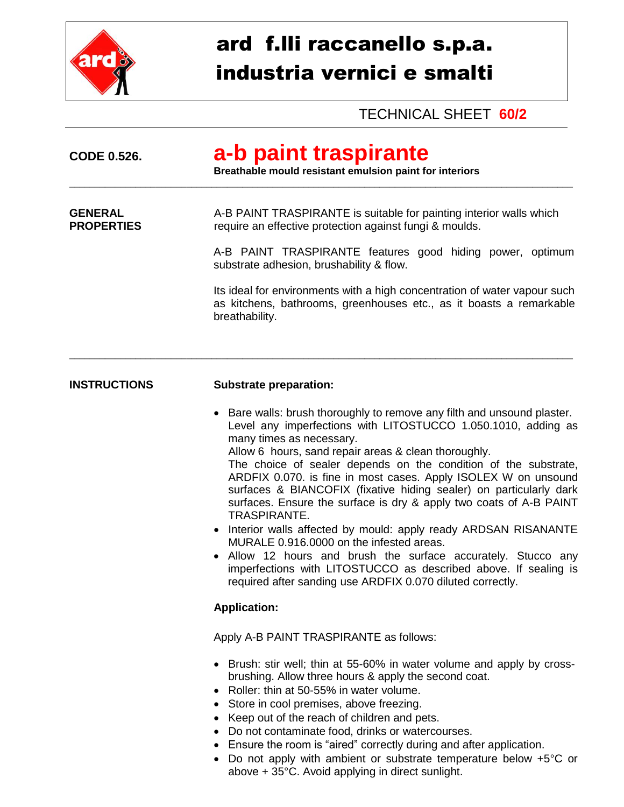

# ard f.lli raccanello s.p.a. industria vernici e smalti

## TECHNICAL SHEET **60/2**

| <b>CODE 0.526.</b>                  | a-b paint traspirante<br>Breathable mould resistant emulsion paint for interiors                                                                                                                                                                                                                                                                                                                                                                                                                                                                                                                                                                                                                                                                                                                                                                     |
|-------------------------------------|------------------------------------------------------------------------------------------------------------------------------------------------------------------------------------------------------------------------------------------------------------------------------------------------------------------------------------------------------------------------------------------------------------------------------------------------------------------------------------------------------------------------------------------------------------------------------------------------------------------------------------------------------------------------------------------------------------------------------------------------------------------------------------------------------------------------------------------------------|
| <b>GENERAL</b><br><b>PROPERTIES</b> | A-B PAINT TRASPIRANTE is suitable for painting interior walls which<br>require an effective protection against fungi & moulds.                                                                                                                                                                                                                                                                                                                                                                                                                                                                                                                                                                                                                                                                                                                       |
|                                     | A-B PAINT TRASPIRANTE features good hiding power, optimum<br>substrate adhesion, brushability & flow.                                                                                                                                                                                                                                                                                                                                                                                                                                                                                                                                                                                                                                                                                                                                                |
|                                     | Its ideal for environments with a high concentration of water vapour such<br>as kitchens, bathrooms, greenhouses etc., as it boasts a remarkable<br>breathability.                                                                                                                                                                                                                                                                                                                                                                                                                                                                                                                                                                                                                                                                                   |
| <b>INSTRUCTIONS</b>                 | <b>Substrate preparation:</b>                                                                                                                                                                                                                                                                                                                                                                                                                                                                                                                                                                                                                                                                                                                                                                                                                        |
|                                     | • Bare walls: brush thoroughly to remove any filth and unsound plaster.<br>Level any imperfections with LITOSTUCCO 1.050.1010, adding as<br>many times as necessary.<br>Allow 6 hours, sand repair areas & clean thoroughly.<br>The choice of sealer depends on the condition of the substrate,<br>ARDFIX 0.070. is fine in most cases. Apply ISOLEX W on unsound<br>surfaces & BIANCOFIX (fixative hiding sealer) on particularly dark<br>surfaces. Ensure the surface is dry & apply two coats of A-B PAINT<br><b>TRASPIRANTE.</b><br>• Interior walls affected by mould: apply ready ARDSAN RISANANTE<br>MURALE 0.916.0000 on the infested areas.<br>Allow 12 hours and brush the surface accurately. Stucco any<br>imperfections with LITOSTUCCO as described above. If sealing is<br>required after sanding use ARDFIX 0.070 diluted correctly. |
|                                     | <b>Application:</b>                                                                                                                                                                                                                                                                                                                                                                                                                                                                                                                                                                                                                                                                                                                                                                                                                                  |
|                                     | Apply A-B PAINT TRASPIRANTE as follows:                                                                                                                                                                                                                                                                                                                                                                                                                                                                                                                                                                                                                                                                                                                                                                                                              |
|                                     | • Brush: stir well; thin at 55-60% in water volume and apply by cross-<br>brushing. Allow three hours & apply the second coat.<br>Roller: thin at 50-55% in water volume.<br>$\bullet$<br>• Store in cool premises, above freezing.<br>• Keep out of the reach of children and pets.<br>Do not contaminate food, drinks or watercourses.<br>٠<br>• Ensure the room is "aired" correctly during and after application.<br>• Do not apply with ambient or substrate temperature below +5°C or                                                                                                                                                                                                                                                                                                                                                          |

above + 35°C. Avoid applying in direct sunlight.